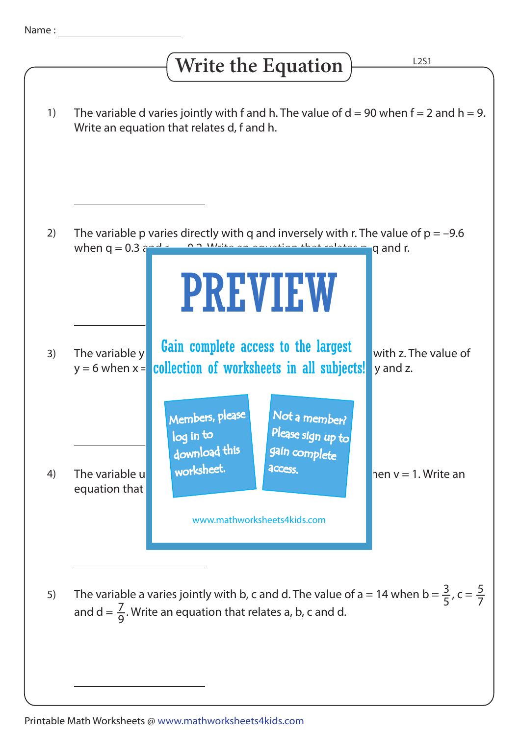## The variable d varies jointly with f and h. The value of  $d = 90$  when  $f = 2$  and  $h = 9$ . Write an equation that relates d, f and h. The variable p varies directly with q and inversely with r. The value of  $p = -9.6$ when  $q = 0.3$  and r  $q = 0.2$ . Write an equation that relates p, q and r. The variable y **Gain complete access to the largest** with z. The value of y = 6 when x = <mark>collection of worksheets in all subjects!</mark> y and z. The variable u worksheet. The variable u equation that 1) 2) 3) 4) 5) L2S1 **Write the Equation** The variable a varies jointly with b, c and d. The value of a = 14 when b =  $\frac{3}{5}$ , c = 5 5 7 7 9 and d =  $\frac{7}{6}$ . Write an equation that relates a, b, c and d. PREVIEW www.mathworksheets4kids.com Members, please download this worksheet. log in to Not a member? gain complete Please sign up to **access**